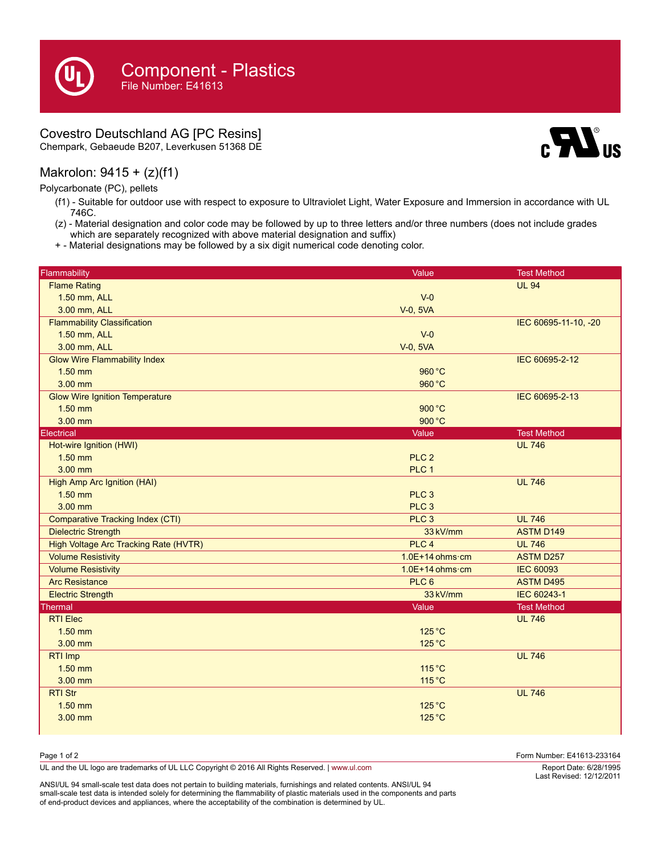## Covestro Deutschland AG [PC Resins]

Chempark, Gebaeude B207, Leverkusen 51368 DE

## Makrolon: 9415 + (z)(f1)

Polycarbonate (PC), pellets

- (f1) Suitable for outdoor use with respect to exposure to Ultraviolet Light, Water Exposure and Immersion in accordance with UL 746C.
- (z) Material designation and color code may be followed by up to three letters and/or three numbers (does not include grades which are separately recognized with above material designation and suffix)
- + Material designations may be followed by a six digit numerical code denoting color.

| Flammability<br>Value<br><b>Test Method</b><br><b>Flame Rating</b><br><b>UL 94</b><br>1.50 mm, ALL<br>$V - 0$<br>3.00 mm, ALL<br>V-0, 5VA<br><b>Flammability Classification</b><br>IEC 60695-11-10, -20<br>1.50 mm, ALL<br>$V - 0$<br>3.00 mm, ALL<br>V-0, 5VA<br><b>Glow Wire Flammability Index</b><br>IEC 60695-2-12<br>$1.50$ mm<br>960 °C |
|------------------------------------------------------------------------------------------------------------------------------------------------------------------------------------------------------------------------------------------------------------------------------------------------------------------------------------------------|
|                                                                                                                                                                                                                                                                                                                                                |
|                                                                                                                                                                                                                                                                                                                                                |
|                                                                                                                                                                                                                                                                                                                                                |
|                                                                                                                                                                                                                                                                                                                                                |
|                                                                                                                                                                                                                                                                                                                                                |
|                                                                                                                                                                                                                                                                                                                                                |
|                                                                                                                                                                                                                                                                                                                                                |
|                                                                                                                                                                                                                                                                                                                                                |
| $3.00$ mm<br>960 °C                                                                                                                                                                                                                                                                                                                            |
| <b>Glow Wire Ignition Temperature</b><br>IEC 60695-2-13                                                                                                                                                                                                                                                                                        |
| 900 °C<br>$1.50$ mm                                                                                                                                                                                                                                                                                                                            |
| 3.00 mm<br>900 °C                                                                                                                                                                                                                                                                                                                              |
| Electrical<br><b>Test Method</b><br>Value                                                                                                                                                                                                                                                                                                      |
| Hot-wire Ignition (HWI)<br><b>UL 746</b>                                                                                                                                                                                                                                                                                                       |
| $1.50$ mm<br>PLC <sub>2</sub>                                                                                                                                                                                                                                                                                                                  |
| $3.00$ mm<br>PLC <sub>1</sub>                                                                                                                                                                                                                                                                                                                  |
| <b>High Amp Arc Ignition (HAI)</b><br><b>UL 746</b>                                                                                                                                                                                                                                                                                            |
| $1.50$ mm<br>PLC <sub>3</sub>                                                                                                                                                                                                                                                                                                                  |
| 3.00 mm<br>PLC <sub>3</sub>                                                                                                                                                                                                                                                                                                                    |
| <b>Comparative Tracking Index (CTI)</b><br>PLC <sub>3</sub><br><b>UL 746</b>                                                                                                                                                                                                                                                                   |
| <b>Dielectric Strength</b><br>33 kV/mm<br><b>ASTM D149</b>                                                                                                                                                                                                                                                                                     |
| High Voltage Arc Tracking Rate (HVTR)<br>PLC <sub>4</sub><br><b>UL 746</b>                                                                                                                                                                                                                                                                     |
| <b>Volume Resistivity</b><br>$1.0E+14$ ohms $\cdot$ cm<br><b>ASTM D257</b>                                                                                                                                                                                                                                                                     |
| <b>Volume Resistivity</b><br><b>IEC 60093</b><br>$1.0E+14$ ohms cm                                                                                                                                                                                                                                                                             |
| <b>Arc Resistance</b><br>PLC <sub>6</sub><br><b>ASTM D495</b>                                                                                                                                                                                                                                                                                  |
| <b>Electric Strength</b><br>33 kV/mm<br>IEC 60243-1                                                                                                                                                                                                                                                                                            |
| Thermal<br>Value<br><b>Test Method</b>                                                                                                                                                                                                                                                                                                         |
| <b>RTI Elec</b><br><b>UL 746</b>                                                                                                                                                                                                                                                                                                               |
| $1.50$ mm<br>$125^{\circ}$ C                                                                                                                                                                                                                                                                                                                   |
| 3.00 mm<br>125 °C                                                                                                                                                                                                                                                                                                                              |
| <b>UL 746</b><br>RTI Imp                                                                                                                                                                                                                                                                                                                       |
| $1.50$ mm<br>115 °C                                                                                                                                                                                                                                                                                                                            |
| 3.00 mm<br>115 °C                                                                                                                                                                                                                                                                                                                              |
| <b>RTI Str</b><br><b>UL 746</b>                                                                                                                                                                                                                                                                                                                |
| $1.50$ mm<br>125 °C                                                                                                                                                                                                                                                                                                                            |
| 125 °C<br>$3.00$ mm                                                                                                                                                                                                                                                                                                                            |

| Page 1 of 2                                                                                    | Form Number: E41613-233164 |
|------------------------------------------------------------------------------------------------|----------------------------|
| UL and the UL logo are trademarks of UL LLC Copyright © 2016 All Rights Reserved.   www.ul.com | Report Date: 6/28/1995     |

ANSI/UL 94 small-scale test data does not pertain to building materials, furnishings and related contents. ANSI/UL 94 small-scale test data is intended solely for determining the flammability of plastic materials used in the components and parts of end-product devices and appliances, where the acceptability of the combination is determined by UL.

6/28/1995 Last Revised: 12/12/2011